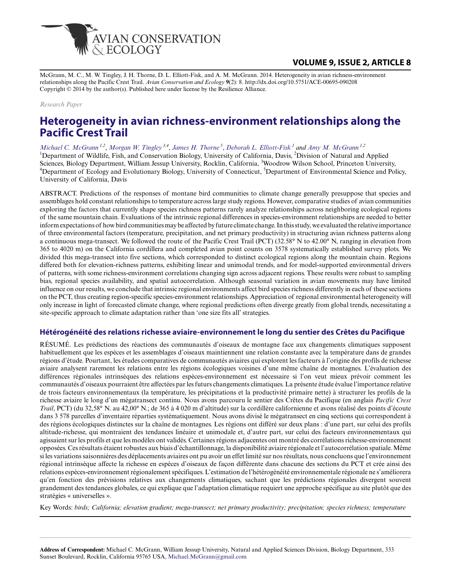

# **VOLUME 9, ISSUE 2, ARTICLE 8**

McGrann, M. C., M. W. Tingley, J. H. Thorne, D. L. Elliott-Fisk, and A. M. McGrann. 2014. Heterogeneity in avian richness-environment relationships along the Pacific Crest Trail. *Avian Conservation and Ecology* **9**(2): 8. http://dx.doi.org/10.5751/ACE-00695-090208 Copyright © 2014 by the author(s). Published here under license by the Resilience Alliance.

#### *Research Paper*

# **Heterogeneity in avian richness-environment relationships along the Pacific Crest Trail**

*[Michael C. McGrann](mailto:Michael.McGrann@gmail.com) 1,2* , *[Morgan W. Tingley](mailto:morgan.tingley@uconn.edu) 3,4* , *[James H. Thorne](mailto:jhthorne@ucdavis.edu)<sup>5</sup>* , *[Deborah L. Elliott-Fisk](mailto:dlelliottfisk@ucdavis.edu)<sup>1</sup> and [Amy M. McGrann](mailto:ammcgrann@ucdavis.edu) 1,2*

<sup>1</sup>Department of Wildlife, Fish, and Conservation Biology, University of California, Davis, <sup>2</sup>Division of Natural and Applied Sciences, Biology Department, William Jessup University, Rocklin, California, <sup>3</sup>Woodrow Wilson School, Princeton University, <sup>4</sup>Department of Ecology and Evolutionary Biology, University of Connecticut, <sup>5</sup>Department of Environmental Science and Policy, University of California, Davis

ABSTRACT. Predictions of the responses of montane bird communities to climate change generally presuppose that species and assemblages hold constant relationships to temperature across large study regions. However, comparative studies of avian communities exploring the factors that currently shape species richness patterns rarely analyze relationships across neighboring ecological regions of the same mountain chain. Evaluations of the intrinsic regional differences in species-environment relationships are needed to better inform expectations of how bird communities may be affected by future climate change. In this study, we evaluated the relative importance of three environmental factors (temperature, precipitation, and net primary productivity) in structuring avian richness patterns along a continuous mega-transect. We followed the route of the Pacific Crest Trail (PCT) (32.58° N to 42.00° N, ranging in elevation from 365 to 4020 m) on the California cordillera and completed avian point counts on 3578 systematically established survey plots. We divided this mega-transect into five sections, which corresponded to distinct ecological regions along the mountain chain. Regions differed both for elevation-richness patterns, exhibiting linear and unimodal trends, and for model-supported environmental drivers of patterns, with some richness-environment correlations changing sign across adjacent regions. These results were robust to sampling bias, regional species availability, and spatial autocorrelation. Although seasonal variation in avian movements may have limited influence on our results, we conclude that intrinsic regional environments affect bird species richness differently in each of these sections on the PCT, thus creating region-specific species-environment relationships. Appreciation of regional environmental heterogeneity will only increase in light of forecasted climate change, where regional predictions often diverge greatly from global trends, necessitating a site-specific approach to climate adaptation rather than 'one size fits all' strategies.

#### **Hétérogénéité des relations richesse aviaire-environnement le long du sentier des Crêtes du Pacifique**

RÉSUMÉ. Les prédictions des réactions des communautés d'oiseaux de montagne face aux changements climatiques supposent habituellement que les espèces et les assemblages d'oiseaux maintiennent une relation constante avec la température dans de grandes régions d'étude. Pourtant, les études comparatives de communautés aviaires qui explorent les facteurs à l'origine des profils de richesse aviaire analysent rarement les relations entre les régions écologiques voisines d'une même chaîne de montagnes. L'évaluation des différences régionales intrinsèques des relations espèces-environnement est nécessaire si l'on veut mieux prévoir comment les communautés d'oiseaux pourraient être affectées par les futurs changements climatiques. La présente étude évalue l'importance relative de trois facteurs environnementaux (la température, les précipitations et la productivité primaire nette) à structurer les profils de la richesse aviaire le long d'un mégatransect continu. Nous avons parcouru le sentier des Crêtes du Pacifique (en anglais *Pacific Crest Trail*, PCT) (du 32,58° N. au 42,00° N.; de 365 à 4 020 m d'altitude) sur la cordillère californienne et avons réalisé des points d'écoute dans 3 578 parcelles d'inventaire réparties systématiquement. Nous avons divisé le mégatransect en cinq sections qui correspondent à des régions écologiques distinctes sur la chaîne de montagnes. Les régions ont différé sur deux plans : d'une part, sur celui des profils altitude-richesse, qui montraient des tendances linéaire et unimodale et, d'autre part, sur celui des facteurs environnementaux qui agissaient sur les profils et que les modèles ont validés. Certaines régions adjacentes ont montré des corrélations richesse-environnement opposées. Ces résultats étaient robustes aux biais d'échantillonnage, la disponibilité aviaire régionale et l'autocorrélation spatiale. Même si les variations saisonnières des déplacements aviaires ont pu avoir un effet limité sur nos résultats, nous concluons que l'environnement régional intrinsèque affecte la richesse en espèces d'oiseaux de façon différente dans chacune des sections du PCT et crée ainsi des relations espèces-environnement régionalement spécifiques. L'estimation de l'hétérogénéité environnementale régionale ne s'améliorera qu'en fonction des prévisions relatives aux changements climatiques, sachant que les prédictions régionales divergent souvent grandement des tendances globales, ce qui explique que l'adaptation climatique requiert une approche spécifique au site plutôt que des stratégies « universelles ».

Key Words: *birds; California; elevation gradient; mega-transect; net primary productivity; precipitation; species richness; temperature*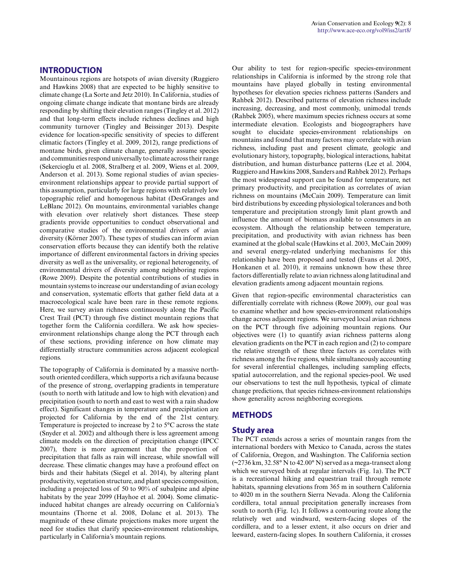#### **INTRODUCTION**

Mountainous regions are hotspots of avian diversity (Ruggiero and Hawkins 2008) that are expected to be highly sensitive to climate change (La Sorte and Jetz 2010). In California, studies of ongoing climate change indicate that montane birds are already responding by shifting their elevation ranges (Tingley et al. 2012) and that long-term effects include richness declines and high community turnover (Tingley and Beissinger 2013). Despite evidence for location-specific sensitivity of species to different climatic factors (Tingley et al. 2009, 2012), range predictions of montane birds, given climate change, generally assume species and communities respond universally to climate across their range (Sekercioglu et al. 2008, Stralberg et al. 2009, Wiens et al. 2009, Anderson et al. 2013). Some regional studies of avian speciesenvironment relationships appear to provide partial support of this assumption, particularly for large regions with relatively low topographic relief and homogenous habitat (DesGranges and LeBlanc 2012). On mountains, environmental variables change with elevation over relatively short distances. These steep gradients provide opportunities to conduct observational and comparative studies of the environmental drivers of avian diversity (Körner 2007). These types of studies can inform avian conservation efforts because they can identify both the relative importance of different environmental factors in driving species diversity as well as the universality, or regional heterogeneity, of environmental drivers of diversity among neighboring regions (Rowe 2009). Despite the potential contributions of studies in mountain systems to increase our understanding of avian ecology and conservation, systematic efforts that gather field data at a macroecological scale have been rare in these remote regions. Here, we survey avian richness continuously along the Pacific Crest Trail (PCT) through five distinct mountain regions that together form the California cordillera. We ask how speciesenvironment relationships change along the PCT through each of these sections, providing inference on how climate may differentially structure communities across adjacent ecological regions.

The topography of California is dominated by a massive northsouth oriented cordillera, which supports a rich avifauna because of the presence of strong, overlapping gradients in temperature (south to north with latitude and low to high with elevation) and precipitation (south to north and east to west with a rain shadow effect). Significant changes in temperature and precipitation are projected for California by the end of the 21st century. Temperature is projected to increase by 2 to 5°C across the state (Snyder et al. 2002) and although there is less agreement among climate models on the direction of precipitation change (IPCC 2007), there is more agreement that the proportion of precipitation that falls as rain will increase, while snowfall will decrease. These climatic changes may have a profound effect on birds and their habitats (Siegel et al. 2014), by altering plant productivity, vegetation structure, and plant species composition, including a projected loss of 50 to 90% of subalpine and alpine habitats by the year 2099 (Hayhoe et al. 2004). Some climaticinduced habitat changes are already occurring on California's mountains (Thorne et al. 2008, Dolanc et al. 2013). The magnitude of these climate projections makes more urgent the need for studies that clarify species-environment relationships, particularly in California's mountain regions.

Our ability to test for region-specific species-environment relationships in California is informed by the strong role that mountains have played globally in testing environmental hypotheses for elevation species richness patterns (Sanders and Rahbek 2012). Described patterns of elevation richness include increasing, decreasing, and most commonly, unimodal trends (Rahbek 2005), where maximum species richness occurs at some intermediate elevation. Ecologists and biogeographers have sought to elucidate species-environment relationships on mountains and found that many factors may correlate with avian richness, including past and present climate, geologic and evolutionary history, topography, biological interactions, habitat distribution, and human disturbance patterns (Lee et al. 2004, Ruggiero and Hawkins 2008, Sanders and Rahbek 2012). Perhaps the most widespread support can be found for temperature, net primary productivity, and precipitation as correlates of avian richness on mountains (McCain 2009). Temperature can limit bird distributions by exceeding physiological tolerances and both temperature and precipitation strongly limit plant growth and influence the amount of biomass available to consumers in an ecosystem. Although the relationship between temperature, precipitation, and productivity with avian richness has been examined at the global scale (Hawkins et al. 2003, McCain 2009) and several energy-related underlying mechanisms for this relationship have been proposed and tested (Evans et al. 2005, Honkanen et al. 2010), it remains unknown how these three factors differentially relate to avian richness along latitudinal and elevation gradients among adjacent mountain regions.

Given that region-specific environmental characteristics can differentially correlate with richness (Rowe 2009), our goal was to examine whether and how species-environment relationships change across adjacent regions. We surveyed local avian richness on the PCT through five adjoining mountain regions. Our objectives were (1) to quantify avian richness patterns along elevation gradients on the PCT in each region and (2) to compare the relative strength of these three factors as correlates with richness among the five regions, while simultaneously accounting for several inferential challenges, including sampling effects, spatial autocorrelation, and the regional species-pool. We used our observations to test the null hypothesis, typical of climate change predictions, that species richness-environment relationships show generality across neighboring ecoregions.

### **METHODS**

#### **Study area**

The PCT extends across a series of mountain ranges from the international borders with Mexico to Canada, across the states of California, Oregon, and Washington. The California section  $(-2736 \text{ km}, 32.58\textdegree \text{ N}$  to  $42.00\textdegree \text{ N})$  served as a mega-transect along which we surveyed birds at regular intervals (Fig. 1a). The PCT is a recreational hiking and equestrian trail through remote habitats, spanning elevations from 365 m in southern California to 4020 m in the southern Sierra Nevada. Along the California cordillera, total annual precipitation generally increases from south to north (Fig. 1c). It follows a contouring route along the relatively wet and windward, western-facing slopes of the cordillera, and to a lesser extent, it also occurs on drier and leeward, eastern-facing slopes. In southern California, it crosses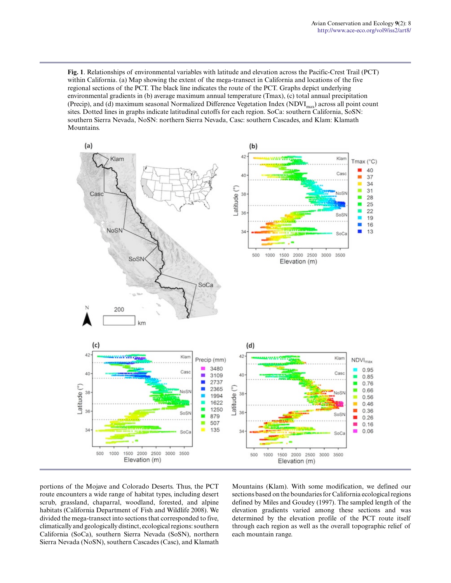**Fig. 1**. Relationships of environmental variables with latitude and elevation across the Pacific-Crest Trail (PCT) within California. (a) Map showing the extent of the mega-transect in California and locations of the five regional sections of the PCT. The black line indicates the route of the PCT. Graphs depict underlying environmental gradients in (b) average maximum annual temperature (Tmax), (c) total annual precipitation (Precip), and (d) maximum seasonal Normalized Difference Vegetation Index (NDVI $_{\text{max}}$ ) across all point count sites. Dotted lines in graphs indicate latitudinal cutoffs for each region. SoCa: southern California, SoSN: southern Sierra Nevada, NoSN: northern Sierra Nevada, Casc: southern Cascades, and Klam: Klamath Mountains.



portions of the Mojave and Colorado Deserts. Thus, the PCT route encounters a wide range of habitat types, including desert scrub, grassland, chaparral, woodland, forested, and alpine habitats (California Department of Fish and Wildlife 2008). We divided the mega-transect into sections that corresponded to five, climatically and geologically distinct, ecological regions: southern California (SoCa), southern Sierra Nevada (SoSN), northern Sierra Nevada (NoSN), southern Cascades (Casc), and Klamath Mountains (Klam). With some modification, we defined our sections based on the boundaries for California ecological regions defined by Miles and Goudey (1997). The sampled length of the elevation gradients varied among these sections and was determined by the elevation profile of the PCT route itself through each region as well as the overall topographic relief of each mountain range.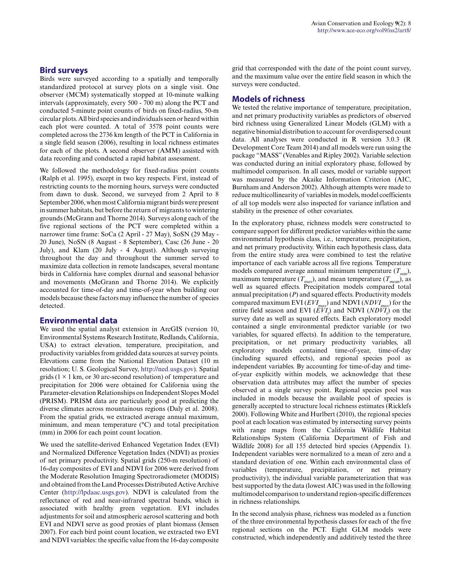#### **Bird surveys**

Birds were surveyed according to a spatially and temporally standardized protocol at survey plots on a single visit. One observer (MCM) systematically stopped at 10-minute walking intervals (approximately, every 500 - 700 m) along the PCT and conducted 5-minute point counts of birds on fixed-radius, 50-m circular plots. All bird species and individuals seen or heard within each plot were counted. A total of 3578 point counts were completed across the 2736 km length of the PCT in California in a single field season (2006), resulting in local richness estimates for each of the plots. A second observer (AMM) assisted with data recording and conducted a rapid habitat assessment.

We followed the methodology for fixed-radius point counts (Ralph et al. 1995), except in two key respects. First, instead of restricting counts to the morning hours, surveys were conducted from dawn to dusk. Second, we surveyed from 2 April to 8 September 2006, when most California migrant birds were present in summer habitats, but before the return of migrants to wintering grounds (McGrann and Thorne 2014). Surveys along each of the five regional sections of the PCT were completed within a narrower time frame: SoCa (2 April - 27 May), SoSN (29 May - 20 June), NoSN (8 August - 8 September), Casc (26 June - 20 July), and Klam (20 July - 4 August). Although surveying throughout the day and throughout the summer served to maximize data collection in remote landscapes, several montane birds in California have complex diurnal and seasonal behavior and movements (McGrann and Thorne 2014). We explicitly accounted for time-of-day and time-of-year when building our models because these factors may influence the number of species detected.

#### **Environmental data**

We used the spatial analyst extension in ArcGIS (version 10, Environmental Systems Research Institute, Redlands, California, USA) to extract elevation, temperature, precipitation, and productivity variables from gridded data sources at survey points. Elevations came from the National Elevation Dataset (10 m resolution; U. S. Geological Survey, [http://ned.usgs.gov\)](http://ned.usgs.gov). Spatial grids  $(1 \times 1 \text{ km}, \text{ or } 30 \text{ arc-second resolution})$  of temperature and precipitation for 2006 were obtained for California using the Parameter-elevation Relationships on Independent Slopes Model (PRISM). PRISM data are particularly good at predicting the diverse climates across mountainous regions (Daly et al. 2008). From the spatial grids, we extracted average annual maximum, minimum, and mean temperature (°C) and total precipitation (mm) in 2006 for each point count location.

We used the satellite-derived Enhanced Vegetation Index (EVI) and Normalized Difference Vegetation Index (NDVI) as proxies of net primary productivity. Spatial grids (250-m resolution) of 16-day composites of EVI and NDVI for 2006 were derived from the Moderate Resolution Imaging Spectroradiometer (MODIS) and obtained from the Land Processes Distributed Active Archive Center [\(http://lpdaac.usgs.gov](http://lpdaac.usgs.gov)). NDVI is calculated from the reflectance of red and near-infrared spectral bands, which is associated with healthy green vegetation. EVI includes adjustments for soil and atmospheric aerosol scattering and both EVI and NDVI serve as good proxies of plant biomass (Jensen 2007). For each bird point count location, we extracted two EVI and NDVI variables: the specific value from the 16-day composite grid that corresponded with the date of the point count survey, and the maximum value over the entire field season in which the surveys were conducted.

### **Models of richness**

We tested the relative importance of temperature, precipitation, and net primary productivity variables as predictors of observed bird richness using Generalized Linear Models (GLM) with a negative binomial distribution to account for overdispersed count data. All analyses were conducted in R version 3.0.3 (R Development Core Team 2014) and all models were run using the package "MASS" (Venables and Ripley 2002). Variable selection was conducted during an initial exploratory phase, followed by multimodel comparison. In all cases, model or variable support was measured by the Akaike Information Criterion (AIC, Burnham and Anderson 2002). Although attempts were made to reduce multicollinearity of variables in models, model coefficients of all top models were also inspected for variance inflation and stability in the presence of other covariates.

In the exploratory phase, richness models were constructed to compare support for different predictor variables within the same environmental hypothesis class, i.e., temperature, precipitation, and net primary productivity. Within each hypothesis class, data from the entire study area were combined to test the relative importance of each variable across all five regions. Temperature models compared average annual minimum temperature (*Tmin*), maximum temperature (*Tmax* ), and mean temperature (*Tmean* ), as well as squared effects. Precipitation models compared total annual precipitation (*P*) and squared effects. Productivity models compared maximum EVI (*EVImax* ) and NDVI (*NDVImax* ) for the entire field season and EVI (*EVI<sup>t</sup>* ) and NDVI (*NDVI<sup>t</sup>* ) on the survey date as well as squared effects. Each exploratory model contained a single environmental predictor variable (or two variables, for squared effects). In addition to the temperature, precipitation, or net primary productivity variables, all exploratory models contained time-of-year, time-of-day (including squared effects), and regional species pool as independent variables. By accounting for time-of-day and timeof-year explicitly within models, we acknowledge that these observation data attributes may affect the number of species observed at a single survey point. Regional species pool was included in models because the available pool of species is generally accepted to structure local richness estimates (Ricklefs 2000). Following White and Hurlbert (2010), the regional species pool at each location was estimated by intersecting survey points with range maps from the California Wildlife Habitat Relationships System (California Department of Fish and Wildlife 2008) for all 155 detected bird species (Appendix 1). Independent variables were normalized to a mean of zero and a standard deviation of one. Within each environmental class of variables (temperature, precipitation, or net primary productivity), the individual variable parameterization that was best supported by the data (lowest AIC) was used in the following multimodel comparison to understand region-specific differences in richness relationships.

In the second analysis phase, richness was modeled as a function of the three environmental hypothesis classes for each of the five regional sections on the PCT. Eight GLM models were constructed, which independently and additively tested the three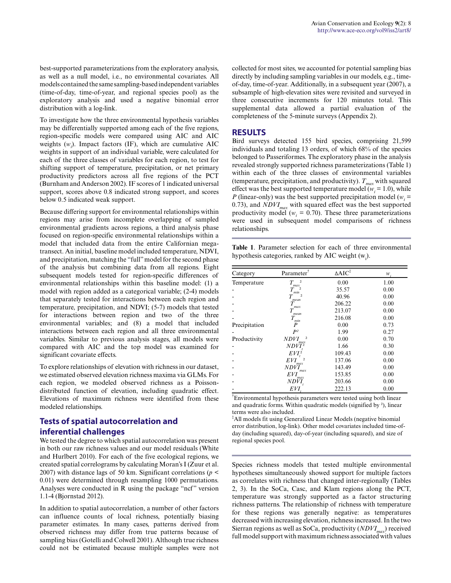best-supported parameterizations from the exploratory analysis, as well as a null model, i.e., no environmental covariates. All models contained the same sampling-based independent variables (time-of-day, time-of-year, and regional species pool) as the exploratory analysis and used a negative binomial error distribution with a log-link.

To investigate how the three environmental hypothesis variables may be differentially supported among each of the five regions, region-specific models were compared using AIC and AIC weights  $(w_i)$ . Impact factors (IF), which are cumulative AIC weights in support of an individual variable, were calculated for each of the three classes of variables for each region, to test for shifting support of temperature, precipitation, or net primary productivity predictors across all five regions of the PCT (Burnham and Anderson 2002). IF scores of 1 indicated universal support, scores above 0.8 indicated strong support, and scores below 0.5 indicated weak support.

Because differing support for environmental relationships within regions may arise from incomplete overlapping of sampled environmental gradients across regions, a third analysis phase focused on region-specific environmental relationships within a model that included data from the entire Californian megatransect. An initial, baseline model included temperature, NDVI, and precipitation, matching the "full" model for the second phase of the analysis but combining data from all regions. Eight subsequent models tested for region-specific differences of environmental relationships within this baseline model: (1) a model with region added as a categorical variable; (2-4) models that separately tested for interactions between each region and temperature, precipitation, and NDVI; (5-7) models that tested for interactions between region and two of the three environmental variables; and (8) a model that included interactions between each region and all three environmental variables. Similar to previous analysis stages, all models were compared with AIC and the top model was examined for significant covariate effects.

To explore relationships of elevation with richness in our dataset, we estimated observed elevation richness maxima via GLMs. For each region, we modeled observed richness as a Poissondistributed function of elevation, including quadratic effect. Elevations of maximum richness were identified from these modeled relationships.

# **Tests of spatial autocorrelation and inferential challenges**

We tested the degree to which spatial autocorrelation was present in both our raw richness values and our model residuals (White and Hurlbert 2010). For each of the five ecological regions, we created spatial correlograms by calculating Moran's I (Zuur et al. 2007) with distance lags of 50 km. Significant correlations (*p* < 0.01) were determined through resampling 1000 permutations. Analyses were conducted in R using the package "ncf" version 1.1-4 (Bjornstad 2012).

In addition to spatial autocorrelation, a number of other factors can influence counts of local richness, potentially biasing parameter estimates. In many cases, patterns derived from observed richness may differ from true patterns because of sampling bias (Gotelli and Colwell 2001). Although true richness could not be estimated because multiple samples were not

collected for most sites, we accounted for potential sampling bias directly by including sampling variables in our models, e.g., timeof-day, time-of-year. Additionally, in a subsequent year (2007), a subsample of high-elevation sites were revisited and surveyed in three consecutive increments for 120 minutes total. This supplemental data allowed a partial evaluation of the completeness of the 5-minute surveys (Appendix 2).

### **RESULTS**

Bird surveys detected 155 bird species, comprising 21,599 individuals and totaling 13 orders, of which 68% of the species belonged to Passeriformes. The exploratory phase in the analysis revealed strongly supported richness parameterizations (Table 1) within each of the three classes of environmental variables (temperature, precipitation, and productivity). *Tmax* with squared effect was the best supported temperature model ( $w_i = 1.0$ ), while *P* (linear-only) was the best supported precipitation model ( $w_i$  = 0.73), and *NDVImax* with squared effect was the best supported productivity model ( $w_i = 0.70$ ). These three parameterizations were used in subsequent model comparisons of richness relationships.

**Table 1**. Parameter selection for each of three environmental hypothesis categories, ranked by AIC weight  $(w_i)$ .

| Category      | Parameter <sup>†</sup>                 | $\Delta AIC^{\ddagger}$ | w,   |
|---------------|----------------------------------------|-------------------------|------|
| Temperature   | $\overline{2}$<br>T<br>max             | 0.00                    | 1.00 |
|               | 2<br>min                               | 35.57                   | 0.00 |
|               | $\overline{\mathbf{c}}$<br>mean        | 40.96                   | 0.00 |
|               | max                                    | 206.22                  | 0.00 |
|               | mean                                   | 213.07                  | 0.00 |
|               | $\tau$<br>min                          | 216.08                  | 0.00 |
| Precipitation | P                                      | 0.00                    | 0.73 |
|               | P <sup>2</sup>                         | 1.99                    | 0.27 |
| Productivity  | $\overline{\mathbf{c}}$<br><i>NDVI</i> | 0.00                    | 0.70 |
|               | max<br>NDVI <sup>2</sup>               | 1.66                    | 0.30 |
|               | EV I                                   | 109.43                  | 0.00 |
|               | $\overline{\phantom{a}}$<br>EVI<br>max | 137.06                  | 0.00 |
|               | NDVI                                   | 143.49                  | 0.00 |
|               | max<br>EVI                             | 153.85                  | 0.00 |
|               | max<br>NDVI                            | 203.66                  | 0.00 |
|               | EVI                                    | 222.13                  | 0.00 |

†Environmental hypothesis parameters were tested using both linear and quadratic forms. Within quadratic models (signified by ²), linear terms were also included.

‡All models fit using Generalized Linear Models (negative binomial error distribution, log-link). Other model covariates included time-ofday (including squared), day-of-year (including squared), and size of regional species pool.

Species richness models that tested multiple environmental hypotheses simultaneously showed support for multiple factors as correlates with richness that changed inter-regionally (Tables 2, 3). In the SoCa, Casc, and Klam regions along the PCT, temperature was strongly supported as a factor structuring richness patterns. The relationship of richness with temperature for these regions was generally negative: as temperatures decreased with increasing elevation, richness increased. In the two Sierran regions as well as SoCa, productivity (*NDVImax* ) received full model support with maximum richness associated with values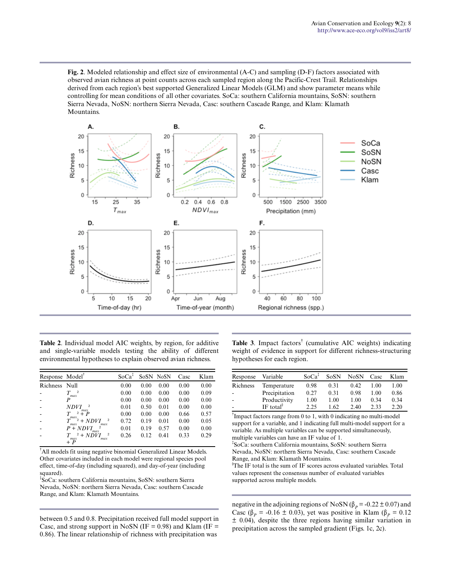**Fig. 2**. Modeled relationship and effect size of environmental (A-C) and sampling (D-F) factors associated with observed avian richness at point counts across each sampled region along the Pacific-Crest Trail. Relationships derived from each region's best supported Generalized Linear Models (GLM) and show parameter means while controlling for mean conditions of all other covariates. SoCa: southern California mountains, SoSN: southern Sierra Nevada, NoSN: northern Sierra Nevada, Casc: southern Cascade Range, and Klam: Klamath Mountains.



**Table 2**. Individual model AIC weights, by region, for additive and single-variable models testing the ability of different environmental hypotheses to explain observed avian richness.

| Response Model <sup>™</sup> |                                                             | SoCa |      | SoSN NoSN | Casc | Klam |
|-----------------------------|-------------------------------------------------------------|------|------|-----------|------|------|
| Richness Null               |                                                             | 0.00 | 0.00 | 0.00      | 0.00 | 0.00 |
|                             | $\overline{2}$<br>max                                       | 0.00 | 0.00 | 0.00      | 0.00 | 0.09 |
|                             | P                                                           | 0.00 | 0.00 | 0.00      | 0.00 | 0.00 |
|                             | 2<br><i>NDVI</i>                                            | 0.01 | 0.50 | 0.01      | 0.00 | 0.00 |
|                             | max<br>$2 + P$<br>max                                       | 0.00 | 0.00 | 0.00      | 0.66 | 0.57 |
|                             | $2 + NDVI$<br>$\overline{2}$                                | 0.72 | 0.19 | 0.01      | 0.00 | 0.05 |
|                             | max<br>max<br>$P + NDVI$<br>$\mathfrak{D}$<br>max           | 0.01 | 0.19 | 0.57      | 0.00 | 0.00 |
|                             | $\overline{\mathbf{c}}$<br>$2 + NDVI$<br>max<br>max<br>$+P$ | 0.26 | 0.12 | 0.41      | 0.33 | 0.29 |

†All models fit using negative binomial Generalized Linear Models. Other covariates included in each model were regional species pool effect, time-of-day (including squared), and day-of-year (including squared).

‡ SoCa: southern California mountains, SoSN: southern Sierra Nevada, NoSN: northern Sierra Nevada, Casc: southern Cascade Range, and Klam: Klamath Mountains.

between 0.5 and 0.8. Precipitation received full model support in Casc, and strong support in NoSN (IF = 0.98) and Klam (IF = 0.86). The linear relationship of richness with precipitation was

**Table 3**. Impact factors† (cumulative AIC weights) indicating weight of evidence in support for different richness-structuring hypotheses for each region.

| Response       | Variable                        | SoCa <sup>2</sup> | <b>SoSN</b> | <b>NoSN</b> | Casc | Klam |
|----------------|---------------------------------|-------------------|-------------|-------------|------|------|
| Richness       | Temperature                     | 0.98              | 0.31        | 0.42        | 1.00 | 1.00 |
| $\blacksquare$ | Precipitation                   | 0.27              | 0.31        | 0.98        | 1.00 | 0.86 |
| ÷.             | Productivity                    | 1.00              | 1.00        | 1.00        | 0.34 | 0.34 |
| ÷.             | IF total $\mathbf$ <sup>§</sup> | 225               | 1.62        | 2.40        | 233  | 2.20 |

† Impact factors range from 0 to 1, with 0 indicating no multi-model support for a variable, and 1 indicating full multi-model support for a variable. As multiple variables can be supported simultaneously, multiple variables can have an IF value of 1.

‡ SoCa: southern California mountains, SoSN: southern Sierra Nevada, NoSN: northern Sierra Nevada, Casc: southern Cascade Range, and Klam: Klamath Mountains.

§The IF total is the sum of IF scores across evaluated variables. Total values represent the consensus number of evaluated variables supported across multiple models.

negative in the adjoining regions of NoSN ( $\beta_p$  = -0.22 ± 0.07) and Casc (β<sub>*P*</sub> = -0.16 ± 0.03), yet was positive in Klam (β<sub>*P*</sub> = 0.12 ± 0.04), despite the three regions having similar variation in precipitation across the sampled gradient (Figs. 1c, 2c).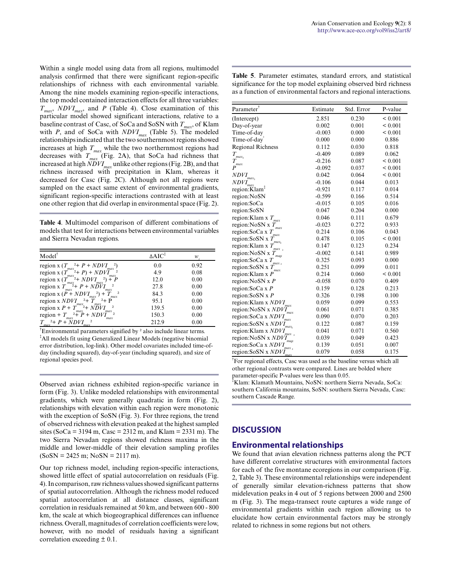Within a single model using data from all regions, multimodel analysis confirmed that there were significant region-specific relationships of richness with each environmental variable. Among the nine models examining region-specific interactions, the top model contained interaction effects for all three variables:  $T_{max}$ ,  $NDVI_{max}$ , and *P* (Table 4). Close examination of this particular model showed significant interactions, relative to a baseline contrast of Casc, of SoCa and SoSN with *Tmax* , of Klam with *P*, and of SoCa with *NDVImax* (Table 5). The modeled relationships indicated that the two southernmost regions showed increases at high  $T_{max}$  while the two northernmost regions had decreases with *Tmax* (Fig. 2A), that SoCa had richness that increased at high *NDVImax* unlike other regions (Fig. 2B), and that richness increased with precipitation in Klam, whereas it decreased for Casc (Fig. 2C). Although not all regions were sampled on the exact same extent of environmental gradients, significant region-specific interactions contrasted with at least one other region that did overlap in environmental space (Fig. 2).

**Table 4**. Multimodel comparison of different combinations of models that test for interactions between environmental variables and Sierra Nevadan regions.

| Model <sup>T</sup>                                              | $\triangle AIC^{\ddagger}$ | w    |
|-----------------------------------------------------------------|----------------------------|------|
| region x $(T_{max}^{2} + P + NDVT_{max}^{2})$                   | 0.0                        | 0.92 |
| region x $(T_{max}^{2} + P) + NDVT_n$                           | 4.9                        | 0.08 |
| max<br>region x $(T_{max}^{2} + NDV_{max}^{2}) + P$             | 12.0                       | 0.00 |
| region x $T_{max}^{\text{max}}$ + $P + N\frac{m\alpha x}{N}$    | 27.8                       | 0.00 |
| region x $(P + NDVI_{max}^2) + T$<br>max                        | 84.3                       | 0.00 |
| region x $NDVI_{max}^{2+}$ $T_{max}^{2+}$ $\overline{P}$        | 95.1                       | 0.00 |
| region x $P + T_{max}^{2} + N\overline{D}VI_{max}^{2}$          | 139.5                      | 0.00 |
| region + $T_{\dots}$ <sup>2</sup> + $P$ + $NDVI_{\dots}$<br>max | 150.3                      | 0.00 |
| $T_{max}^2 + P + NDYI^2$                                        | 212.9                      | 0.00 |

<sup>†</sup>Environmental parameters signified by  $\frac{3}{2}$  also include linear terms. ‡All models fit using Generalized Linear Models (negative binomial error distribution, log-link). Other model covariates included time-ofday (including squared), day-of-year (including squared), and size of regional species pool.

Observed avian richness exhibited region-specific variance in form (Fig. 3). Unlike modeled relationships with environmental gradients, which were generally quadratic in form (Fig. 2), relationships with elevation within each region were monotonic with the exception of SoSN (Fig. 3). For three regions, the trend of observed richness with elevation peaked at the highest sampled sites (SoCa = 3194 m, Casc =  $2312$  m, and Klam =  $2331$  m). The two Sierra Nevadan regions showed richness maxima in the middle and lower-middle of their elevation sampling profiles  $(SoSN = 2425 \text{ m}; NoSN = 2117 \text{ m}).$ 

Our top richness model, including region-specific interactions, showed little effect of spatial autocorrelation on residuals (Fig. 4). In comparison, raw richness values showed significant patterns of spatial autocorrelation. Although the richness model reduced spatial autocorrelation at all distance classes, significant correlation in residuals remained at 50 km, and between 600 - 800 km, the scale at which biogeographical differences can influence richness. Overall, magnitudes of correlation coefficients were low, however, with no model of residuals having a significant correlation exceeding  $\pm$  0.1.

| <b>Table 5.</b> Parameter estimates, standard errors, and statistical |  |
|-----------------------------------------------------------------------|--|
| significance for the top model explaining observed bird richness      |  |
| as a function of environmental factors and regional interactions.     |  |

| Parameter <sup>†</sup>                          | Estimate | Std. Error | P-value      |
|-------------------------------------------------|----------|------------|--------------|
| (Intercept)                                     | 2.851    | 0.230      | ${}_{0.001}$ |
| Day-of-year                                     | 0.002    | 0.001      | ${}_{0.001}$ |
| Time-of-day                                     | $-0.003$ | 0.000      | ${}_{0.001}$ |
| Time-of-day                                     | 0.000    | 0.000      | 0.886        |
| <b>Regional Richness</b>                        | 0.112    | 0.030      | 0.818        |
| $T_{max_2}$                                     | $-0.409$ | 0.089      | 0.062        |
| $T_{max}$                                       | $-0.216$ | 0.087      | ${}_{0.001}$ |
| $\overline{P}$                                  | $-0.092$ | 0.037      | ${}_{0.001}$ |
| $NDVI$ <sub>max<sub>2</sub></sub>               | 0.042    | 0.064      | ${}_{0.001}$ |
| <b>NDVI</b>                                     | $-0.106$ | 0.044      | 0.013        |
| rv $D \prime T_{max}$ region: Klam <sup>‡</sup> | $-0.921$ | 0.117      | 0.014        |
| region:NoSN                                     | $-0.599$ | 0.166      | 0.514        |
| region:SoCa                                     | $-0.015$ | 0.105      | 0.016        |
| region:SoSN                                     | 0.047    | 0.204      | 0.000        |
| region: Klam x T<br>max                         | 0.046    | 0.111      | 0.679        |
| region:NoSN x T<br>max                          | $-0.023$ | 0.272      | 0.933        |
| region:SoCa x T<br>max                          | 0.214    | 0.106      | 0.043        |
| region:SoSN x T<br>max,                         | 0.478    | 0.105      | ${}< 0.001$  |
| region: Klam x T<br>max <sub>2</sub>            | 0.147    | 0.123      | 0.234        |
| region:NoSN x T<br>тах                          | $-0.002$ | 0.141      | 0.989        |
| region:SoCa x T<br>max,                         | 0.325    | 0.093      | 0.000        |
| region:SoSN x T<br>max                          | 0.251    | 0.099      | 0.011        |
| region: Klam x P                                | 0.214    | 0.060      | ${}_{0.001}$ |
| region:NoSN x P                                 | $-0.058$ | 0.070      | 0.409        |
| region:SoCa x P                                 | 0.159    | 0.128      | 0.213        |
| region:SoSN x P                                 | 0.326    | 0.198      | 0.100        |
| region: Klam x $NDVI_{max}$                     | 0.059    | 0.099      | 0.553        |
| region: NoSN x $NDVI$ <sub>max</sub>            | 0.061    | 0.071      | 0.385        |
| region: SoCa x $NDVI$ <sub>max</sub>            | 0.090    | 0.070      | 0.203        |
| region:SoSN x $NDVI_{max_2}$                    | 0.122    | 0.087      | 0.159        |
| region: Klam x NDVI<br>$max_2$                  | 0.041    | 0.071      | 0.560        |
| region:NoSN x NDVI<br>max                       | 0.039    | 0.049      | 0.423        |
| region:SoCa x NDVI<br>$max_2$                   | 0.139    | 0.051      | 0.007        |
| region:SoSN x NDVI                              | 0.079    | 0.058      | 0.175        |

†For regional effects, Casc was used as the baseline versus which all other regional contrasts were compared. Lines are bolded where parameter-specific P-values were less than 0.05.

‡Klam: Klamath Mountains, NoSN: northern Sierra Nevada, SoCa: southern California mountains, SoSN: southern Sierra Nevada, Casc: southern Cascade Range.

# **DISCUSSION**

#### **Environmental relationships**

We found that avian elevation richness patterns along the PCT have different correlative structures with environmental factors for each of the five montane ecoregions in our comparison (Fig. 2, Table 3). These environmental relationships were independent of generally similar elevation-richness patterns that show midelevation peaks in 4 out of 5 regions between 2000 and 2500 m (Fig. 3). The mega-transect route captures a wide range of environmental gradients within each region allowing us to elucidate how certain environmental factors may be strongly related to richness in some regions but not others.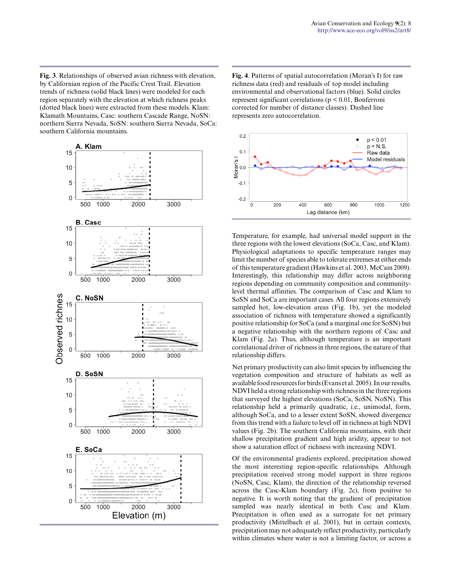**Fig. 3**. Relationships of observed avian richness with elevation, by Californian region of the Pacific Crest Trail. Elevation trends of richness (solid black lines) were modeled for each region separately with the elevation at which richness peaks (dotted black lines) were extracted from these models. Klam: Klamath Mountains, Casc: southern Cascade Range, NoSN: northern Sierra Nevada, SoSN: southern Sierra Nevada, SoCa: southern California mountains.



**Fig. 4**. Patterns of spatial autocorrelation (Moran's I) for raw richness data (red) and residuals of top model including environmental and observational factors (blue). Solid circles represent significant correlations (p < 0.01, Bonferroni corrected for number of distance classes). Dashed line represents zero autocorrelation.



Temperature, for example, had universal model support in the three regions with the lowest elevations (SoCa, Casc, and Klam). Physiological adaptations to specific temperature ranges may limit the number of species able to tolerate extremes at either ends of this temperature gradient (Hawkins et al. 2003, McCain 2009). Interestingly, this relationship may differ across neighboring regions depending on community composition and communitylevel thermal affinities. The comparison of Casc and Klam to SoSN and SoCa are important cases. All four regions extensively sampled hot, low-elevation areas (Fig. 1b), yet the modeled association of richness with temperature showed a significantly positive relationship for SoCa (and a marginal one for SoSN) but a negative relationship with the northern regions of Casc and Klam (Fig. 2a). Thus, although temperature is an important correlational driver of richness in three regions, the nature of that relationship differs.

Net primary productivity can also limit species by influencing the vegetation composition and structure of habitats as well as available food resources for birds (Evans et al. 2005). In our results, NDVI held a strong relationship with richness in the three regions that surveyed the highest elevations (SoCa, SoSN, NoSN). This relationship held a primarily quadratic, i.e., unimodal, form, although SoCa, and to a lesser extent SoSN, showed divergence from this trend with a failure to level off in richness at high NDVI values (Fig. 2b). The southern California mountains, with their shallow precipitation gradient and high aridity, appear to not show a saturation effect of richness with increasing NDVI.

Of the environmental gradients explored, precipitation showed the most interesting region-specific relationships. Although precipitation received strong model support in three regions (NoSN, Casc, Klam), the direction of the relationship reversed across the Casc-Klam boundary (Fig. 2c), from positive to negative. It is worth noting that the gradient of precipitation sampled was nearly identical in both Casc and Klam. Precipitation is often used as a surrogate for net primary productivity (Mittelbach et al. 2001), but in certain contexts, precipitation may not adequately reflect productivity, particularly within climates where water is not a limiting factor, or across a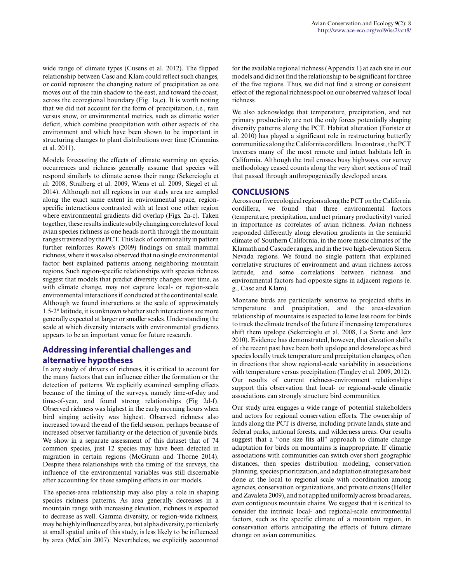wide range of climate types (Cusens et al. 2012). The flipped relationship between Casc and Klam could reflect such changes, or could represent the changing nature of precipitation as one moves out of the rain shadow to the east, and toward the coast, across the ecoregional boundary (Fig. 1a,c). It is worth noting that we did not account for the form of precipitation, i.e., rain versus snow, or environmental metrics, such as climatic water deficit, which combine precipitation with other aspects of the environment and which have been shown to be important in structuring changes to plant distributions over time (Crimmins et al. 2011).

Models forecasting the effects of climate warming on species occurrences and richness generally assume that species will respond similarly to climate across their range (Sekercioglu et al. 2008, Stralberg et al. 2009, Wiens et al. 2009, Siegel et al. 2014). Although not all regions in our study area are sampled along the exact same extent in environmental space, regionspecific interactions contrasted with at least one other region where environmental gradients did overlap (Figs. 2a-c). Taken together, these results indicate subtly changing correlates of local avian species richness as one heads north through the mountain ranges traversed by the PCT. This lack of commonality in pattern further reinforces Rowe's (2009) findings on small mammal richness, where it was also observed that no single environmental factor best explained patterns among neighboring mountain regions. Such region-specific relationships with species richness suggest that models that predict diversity changes over time, as with climate change, may not capture local- or region-scale environmental interactions if conducted at the continental scale. Although we found interactions at the scale of approximately 1.5-2° latitude, it is unknown whether such interactions are more generally expected at larger or smaller scales. Understanding the scale at which diversity interacts with environmental gradients appears to be an important venue for future research.

### **Addressing inferential challenges and alternative hypotheses**

In any study of drivers of richness, it is critical to account for the many factors that can influence either the formation or the detection of patterns. We explicitly examined sampling effects because of the timing of the surveys, namely time-of-day and time-of-year, and found strong relationships (Fig 2d-f). Observed richness was highest in the early morning hours when bird singing activity was highest. Observed richness also increased toward the end of the field season, perhaps because of increased observer familiarity or the detection of juvenile birds. We show in a separate assessment of this dataset that of 74 common species, just 12 species may have been detected in migration in certain regions (McGrann and Thorne 2014). Despite these relationships with the timing of the surveys, the influence of the environmental variables was still discernable after accounting for these sampling effects in our models.

The species-area relationship may also play a role in shaping species richness patterns. As area generally decreases in a mountain range with increasing elevation, richness is expected to decrease as well. Gamma diversity, or region-wide richness, may be highly influenced by area, but alpha diversity, particularly at small spatial units of this study, is less likely to be influenced by area (McCain 2007). Nevertheless, we explicitly accounted

for the available regional richness (Appendix 1) at each site in our models and did not find the relationship to be significant for three of the five regions. Thus, we did not find a strong or consistent effect of the regional richness pool on our observed values of local richness.

We also acknowledge that temperature, precipitation, and net primary productivity are not the only forces potentially shaping diversity patterns along the PCT. Habitat alteration (Forister et al. 2010) has played a significant role in restructuring butterfly communities along the California cordillera. In contrast, the PCT traverses many of the most remote and intact habitats left in California. Although the trail crosses busy highways, our survey methodology ceased counts along the very short sections of trail that passed through anthropogenically developed areas.

### **CONCLUSIONS**

Across our five ecological regions along the PCT on the California cordillera, we found that three environmental factors (temperature, precipitation, and net primary productivity) varied in importance as correlates of avian richness. Avian richness responded differently along elevation gradients in the semiarid climate of Southern California, in the more mesic climates of the Klamath and Cascade ranges, and in the two high-elevation Sierra Nevada regions. We found no single pattern that explained correlative structures of environment and avian richness across latitude, and some correlations between richness and environmental factors had opposite signs in adjacent regions (e. g., Casc and Klam).

Montane birds are particularly sensitive to projected shifts in temperature and precipitation, and the area-elevation relationship of mountains is expected to leave less room for birds to track the climate trends of the future if increasing temperatures shift them upslope (Sekercioglu et al. 2008, La Sorte and Jetz 2010). Evidence has demonstrated, however, that elevation shifts of the recent past have been both upslope and downslope as bird species locally track temperature and precipitation changes, often in directions that show regional-scale variability in associations with temperature versus precipitation (Tingley et al. 2009, 2012). Our results of current richness-environment relationships support this observation that local- or regional-scale climatic associations can strongly structure bird communities.

Our study area engages a wide range of potential stakeholders and actors for regional conservation efforts. The ownership of lands along the PCT is diverse, including private lands, state and federal parks, national forests, and wilderness areas. Our results suggest that a "one size fits all" approach to climate change adaptation for birds on mountains is inappropriate. If climatic associations with communities can switch over short geographic distances, then species distribution modeling, conservation planning, species prioritization, and adaptation strategies are best done at the local to regional scale with coordination among agencies, conservation organizations, and private citizens (Heller and Zavaleta 2009), and not applied uniformly across broad areas, even contiguous mountain chains. We suggest that it is critical to consider the intrinsic local- and regional-scale environmental factors, such as the specific climate of a mountain region, in conservation efforts anticipating the effects of future climate change on avian communities.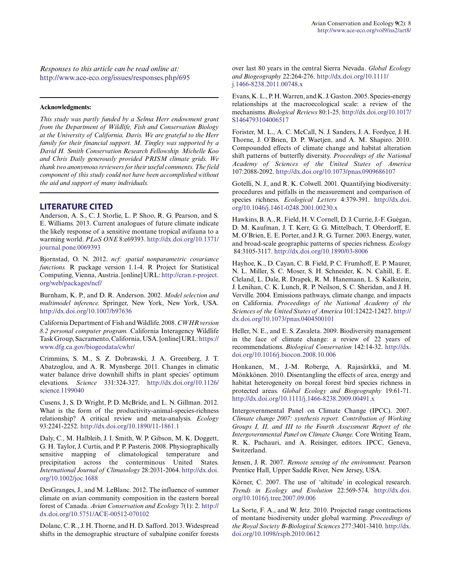*Responses to this article can be read online at:* <http://www.ace-eco.org/issues/responses.php/695>

#### **Acknowledgments:**

*This study was partly funded by a Selma Herr endowment grant from the Department of Wildlife, Fish and Conservation Biology at the University of California, Davis. We are grateful to the Herr family for their financial support. M. Tingley was supported by a David H. Smith Conservation Research Fellowship. Michelle Koo and Chris Daily generously provided PRISM climate grids. We thank two anonymous reviewers for their useful comments. The field component of this study could not have been accomplished without the aid and support of many individuals.*

#### **LITERATURE CITED**

Anderson, A. S., C. J. Storlie, L. P. Shoo, R. G. Pearson, and S. E. Williams. 2013. Current analogues of future climate indicate the likely response of a sensitive montane tropical avifauna to a warming world. *PLoS ONE* 8:e69393. [http://dx.doi.org/10.1371/](http://dx.doi.org/10.1371%2Fjournal.pone.0069393) [journal.pone.0069393](http://dx.doi.org/10.1371%2Fjournal.pone.0069393)

Bjornstad, O. N. 2012. *ncf: spatial nonparametric covariance functions.* R package version 1.1-4. R Project for Statistical Computing, Vienna, Austria. [online] URL: [http://cran.r-project.](http://cran.r-project.org/web/packages/ncf/) [org/web/packages/ncf/](http://cran.r-project.org/web/packages/ncf/)

Burnham, K. P., and D. R. Anderson. 2002. *Model selection and multimodel inference.* Springer, New York, New York, USA. [http://dx.doi.org/10.1007/b97636](http://dx.doi.org/10.1007%2Fb97636) 

California Department of Fish and Wildlife. 2008. *CWHR version 8.2 personal computer program.* California Interagency Wildlife Task Group, Sacramento, California, USA. [online] URL: [https://](https://www.dfg.ca.gov/biogeodata/cwhr/) [www.dfg.ca.gov/biogeodata/cwhr/](https://www.dfg.ca.gov/biogeodata/cwhr/) 

Crimmins, S. M., S. Z. Dobrawski, J. A. Greenberg, J. T. Abatzoglou, and A. R. Mynsberge. 2011. Changes in climatic water balance drive downhill shifts in plant species' optimum elevations. *Science* 331:324-327. [http://dx.doi.org/10.1126/](http://dx.doi.org/10.1126%2Fscience.1199040) [science.1199040](http://dx.doi.org/10.1126%2Fscience.1199040)

Cusens, J., S. D. Wright, P. D. McBride, and L. N. Gillman. 2012. What is the form of the productivity-animal-species-richness relationship? A critical review and meta-analysis. *Ecology* 93:2241-2252. [http://dx.doi.org/10.1890/11-1861.1](http://dx.doi.org/10.1890%2F11-1861.1)

Daly, C., M. Halbleib, J. I. Smith, W. P. Gibson, M. K. Doggett, G. H. Taylor, J. Curtis, and P. P. Pasteris. 2008. Physiographically sensitive mapping of climatological temperature and precipitation across the conterminous United States. *International Journal of Climatology* 28:2031-2064. [http://dx.doi.](http://dx.doi.org/10.1002%2Fjoc.1688) [org/10.1002/joc.1688](http://dx.doi.org/10.1002%2Fjoc.1688) 

DesGranges, J., and M. LeBlanc. 2012. The influence of summer climate on avian community composition in the eastern boreal forest of Canada. *Avian Conservation and Ecology* 7(1): 2. [http://](http://dx.doi.org/10.5751%2FACE-00512-070102) [dx.doi.org/10.5751/ACE-00512-070102](http://dx.doi.org/10.5751%2FACE-00512-070102)

Dolanc, C. R., J. H. Thorne, and H. D. Safford. 2013. Widespread shifts in the demographic structure of subalpine conifer forests over last 80 years in the central Sierra Nevada. *Global Ecology and Biogeography* 22:264-276. [http://dx.doi.org/10.1111/](http://dx.doi.org/10.1111%2Fj.1466-8238.2011.00748.x) [j.1466-8238.2011.00748.x](http://dx.doi.org/10.1111%2Fj.1466-8238.2011.00748.x)

Evans, K. L., P. H. Warren, and K. J. Gaston. 2005. Species-energy relationships at the macroecological scale: a review of the mechanisms. *Biological Reviews* 80:1-25. [http://dx.doi.org/10.1017/](http://dx.doi.org/10.1017%2FS1464793104006517) [S1464793104006517](http://dx.doi.org/10.1017%2FS1464793104006517) 

Forister, M. L., A. C. McCall, N. J. Sanders, J. A. Fordyce, J. H. Thorne, J. O'Brien, D. P. Waetjen, and A. M. Shapiro. 2010. Compounded effects of climate change and habitat alteration shift patterns of butterfly diversity. *Proceedings of the National Academy of Sciences of the United States of America* 107:2088-2092. [http://dx.doi.org/10.1073/pnas.0909686107](http://dx.doi.org/10.1073%2Fpnas.0909686107) 

Gotelli, N. J., and R. K. Colwell. 2001. Quantifying biodiversity: procedures and pitfalls in the measurement and comparison of species richness. *Ecological Letters* 4:379-391. [http://dx.doi.](http://dx.doi.org/10.1046%2Fj.1461-0248.2001.00230.x) [org/10.1046/j.1461-0248.2001.00230.x](http://dx.doi.org/10.1046%2Fj.1461-0248.2001.00230.x)

Hawkins, B. A., R. Field, H. V. Cornell, D. J. Currie, J.-F. Guégan, D. M. Kaufman, J. T. Kerr, G. G. Mittelbach, T. Oberdorff, E. M. O'Brien, E. E. Porter, and J. R. G. Turner. 2003. Energy, water, and broad-scale geographic patterns of species richness. *Ecology* 84:3105-3117. [http://dx.doi.org/10.1890/03-8006](http://dx.doi.org/10.1890%2F03-8006) 

Hayhoe, K., D. Cayan, C. B. Field, P. C. Frumhoff, E. P. Maurer, N. L. Miller, S. C. Moser, S. H. Schneider, K. N. Cahill, E. E. Cleland, L. Dale, R. Drapek, R. M. Hanemann, L. S. Kalkstein, J. Lenihan, C. K. Lunch, R. P. Neilson, S. C. Sheridan, and J. H. Verville. 2004. Emissions pathways, climate change, and impacts on California. *Proceedings of the National Academy of the Sciences of the United States of America* 101:12422-12427. [http://](http://dx.doi.org/10.1073%2Fpnas.0404500101) [dx.doi.org/10.1073/pnas.0404500101](http://dx.doi.org/10.1073%2Fpnas.0404500101) 

Heller, N. E., and E. S. Zavaleta. 2009. Biodiversity management in the face of climate change: a review of 22 years of recommendations. *Biological Conservation* 142:14-32. [http://dx.](http://dx.doi.org/10.1016%2Fj.biocon.2008.10.006) [doi.org/10.1016/j.biocon.2008.10.006](http://dx.doi.org/10.1016%2Fj.biocon.2008.10.006) 

Honkanen, M., J.-M. Roberge, A. Rajasärkkä, and M. Mönkkönen. 2010. Disentangling the effects of area, energy and habitat heterogeneity on boreal forest bird species richness in protected areas. *Global Ecology and Biogeography* 19:61-71. [http://dx.doi.org/10.1111/j.1466-8238.2009.00491.x](http://dx.doi.org/10.1111%2Fj.1466-8238.2009.00491.x) 

Intergovernmental Panel on Climate Change (IPCC). 2007. *Climate change 2007: synthesis report. Contribution of Working Groups I, II, and III to the Fourth Assessment Report of the Intergovernmental Panel on Climate Change.* Core Writing Team, R. K. Pachauri, and A. Reisinger, editors. IPCC, Geneva, Switzerland.

Jensen, J. R. 2007. *Remote sensing of the environment.* Pearson Prentice Hall, Upper Saddle River, New Jersey, USA.

Körner, C. 2007. The use of 'altitude' in ecological research. *Trends in Ecology and Evolution* 22:569-574. [http://dx.doi.](http://dx.doi.org/10.1016%2Fj.tree.2007.09.006) [org/10.1016/j.tree.2007.09.006](http://dx.doi.org/10.1016%2Fj.tree.2007.09.006) 

La Sorte, F. A., and W. Jetz. 2010. Projected range contractions of montane biodiversity under global warming. *Proceedings of the Royal Society B-Biological Sciences* 277:3401-3410. [http://dx.](http://dx.doi.org/10.1098%2Frspb.2010.0612) [doi.org/10.1098/rspb.2010.0612](http://dx.doi.org/10.1098%2Frspb.2010.0612)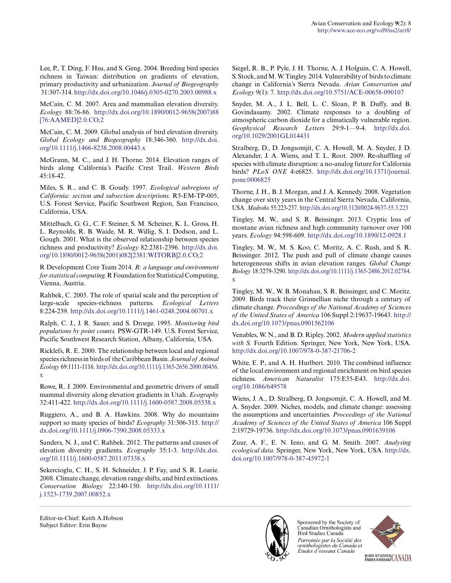Lee, P., T. Ding, F. Hsu, and S. Geng. 2004. Breeding bird species richness in Taiwan: distribution on gradients of elevation, primary productivity and urbanization. *Journal of Biogeography* 31:307-314. [http://dx.doi.org/10.1046/j.0305-0270.2003.00988.x](http://dx.doi.org/10.1046%2Fj.0305-0270.2003.00988.x)

McCain, C. M. 2007. Area and mammalian elevation diversity. *Ecology* 88:76-86. [http://dx.doi.org/10.1890/0012-9658\(2007\)88](http://dx.doi.org/10.1890%2F0012-9658%282007%2988%5B76%3AAAMED%5D2.0.CO%3B2) [\[76:AAMED\]2.0.CO;2](http://dx.doi.org/10.1890%2F0012-9658%282007%2988%5B76%3AAAMED%5D2.0.CO%3B2) 

McCain, C. M. 2009. Global analysis of bird elevation diversity. *Global Ecology and Biogeography* 18:346-360. [http://dx.doi.](http://dx.doi.org/10.1111%2Fj.1466-8238.2008.00443.x) [org/10.1111/j.1466-8238.2008.00443.x](http://dx.doi.org/10.1111%2Fj.1466-8238.2008.00443.x)

McGrann, M. C., and J. H. Thorne. 2014. Elevation ranges of birds along California's Pacific Crest Trail. *Western Birds* 45:18-42.

Miles, S. R., and C. B. Goudy. 1997. *Ecological subregions of California: section and subsection descriptions.* R5-EM-TP-005, U.S. Forest Service, Pacific Southwest Region, San Francisco, California, USA.

Mittelbach, G. G., C. F. Steiner, S. M. Scheiner, K. L. Gross, H. L. Reynolds, R. B. Waide, M. R. Willig, S. I. Dodson, and L. Gough. 2001. What is the observed relationship between species richness and productivity? *Ecology* 82:2381-2396. [http://dx.doi.](http://dx.doi.org/10.1890%2F0012-9658%282001%29082%5B2381%3AWITORB%5D2.0.CO%3B2) [org/10.1890/0012-9658\(2001\)082\[2381:WITORB\]2.0.CO;2](http://dx.doi.org/10.1890%2F0012-9658%282001%29082%5B2381%3AWITORB%5D2.0.CO%3B2)

R Development Core Team 2014. *R: a language and environment for statistical computing.* R Foundation for Statistical Computing, Vienna, Austria.

Rahbek, C. 2005. The role of spatial scale and the perception of large-scale species-richness patterns. *Ecological Letters* 8:224-239. [http://dx.doi.org/10.1111/j.1461-0248.2004.00701.x](http://dx.doi.org/10.1111%2Fj.1461-0248.2004.00701.x)

Ralph, C. J., J. R. Sauer, and S. Droege. 1995. *Monitoring bird populations by point counts.* PSW-GTR-149. U.S. Forest Service, Pacific Southwest Research Station, Albany, California, USA.

Ricklefs, R. E. 2000. The relationship between local and regional species richness in birds of the Caribbean Basin. *Journal of Animal Ecology* 69:1111-1116. [http://dx.doi.org/10.1111/j.1365-2656.2000.00456.](http://dx.doi.org/10.1111/j.1365-2656.2000.00456.x) [x](http://dx.doi.org/10.1111/j.1365-2656.2000.00456.x)

Rowe, R. J. 2009. Environmental and geometric drivers of small mammal diversity along elevation gradients in Utah. *Ecography* 32:411-422. [http://dx.doi.org/10.1111/j.1600-0587.2008.05538.x](http://dx.doi.org/10.1111%2Fj.1600-0587.2008.05538.x)

Ruggiero, A., and B. A. Hawkins. 2008. Why do mountains support so many species of birds? *Ecography* 31:306-315. [http://](http://dx.doi.org/10.1111%2Fj.0906-7590.2008.05333.x) [dx.doi.org/10.1111/j.0906-7590.2008.05333.x](http://dx.doi.org/10.1111%2Fj.0906-7590.2008.05333.x)

Sanders, N. J., and C. Rahbek. 2012. The patterns and causes of elevation diversity gradients. *Ecography* 35:1-3. [http://dx.doi.](http://dx.doi.org/10.1111%2Fj.1600-0587.2011.07338.x) [org/10.1111/j.1600-0587.2011.07338.x](http://dx.doi.org/10.1111%2Fj.1600-0587.2011.07338.x)

Sekercioglu, C. H., S. H. Schneider, J. P. Fay, and S. R. Loarie. 2008. Climate change, elevation range shifts, and bird extinctions. *Conservation Biology* 22:140-150. [http://dx.doi.org/10.1111/](http://dx.doi.org/10.1111%2Fj.1523-1739.2007.00852.x) [j.1523-1739.2007.00852.x](http://dx.doi.org/10.1111%2Fj.1523-1739.2007.00852.x)

Siegel, R. B., P. Pyle, J. H. Thorne, A. J. Holguin, C. A. Howell, S. Stock, and M. W. Tingley. 2014. Vulnerability of birds to climate change in California's Sierra Nevada. *Avian Conservation and Ecology* 9(1): 7. [http://dx.doi.org/10.5751/ACE-00658-090107](http://dx.doi.org/10.5751%2FACE-00658-090107)

Snyder, M. A., J. L. Bell, L. C. Sloan, P. B. Duffy, and B. Govindasamy. 2002. Climate responses to a doubling of atmospheric carbon dioxide for a climatically vulnerable region. *Geophysical Research Letters* 29:9-1—9-4. [http://dx.doi.](http://dx.doi.org/10.1029%2F2001GL014431) [org/10.1029/2001GL014431](http://dx.doi.org/10.1029%2F2001GL014431) 

Stralberg, D., D. Jongsomjit, C. A. Howell, M. A. Snyder, J. D. Alexander, J. A. Wiens, and T. L. Root. 2009. Re-shuffling of species with climate disruption: a no-analog future for California birds? *PLoS ONE* 4:e6825. [http://dx.doi.org/10.1371/journal.](http://dx.doi.org/10.1371%2Fjournal.pone.0006825) [pone.0006825](http://dx.doi.org/10.1371%2Fjournal.pone.0006825)

Thorne, J. H., B. J. Morgan, and J. A. Kennedy. 2008. Vegetation change over sixty years in the Central Sierra Nevada, California, USA. *Madroño* 55:223-237. [http://dx.doi.org/10.3120/0024-9637-55.3.223](http://dx.doi.org/10.3120%2F0024-9637-55.3.223)

Tingley, M. W., and S. R. Beissinger. 2013. Cryptic loss of montane avian richness and high community turnover over 100 years. *Ecology* 94:598-609. [http://dx.doi.org/10.1890/12-0928.1](http://dx.doi.org/10.1890%2F12-0928.1) 

Tingley, M. W., M. S. Koo, C. Moritz, A. C. Rush, and S. R. Beissinger. 2012. The push and pull of climate change causes heterogeneous shifts in avian elevation ranges. *Global Change Biology* 18:3279-3290. [http://dx.doi.org/10.1111/j.1365-2486.2012.02784.](http://dx.doi.org/10.1111%2Fj.1365-2486.2012.02784.x) [x](http://dx.doi.org/10.1111%2Fj.1365-2486.2012.02784.x) 

Tingley, M. W., W. B. Monahan, S. R. Beissinger, and C. Moritz. 2009. Birds track their Grinnellian niche through a century of climate change. *Proceedings of the National Academy of Sciences of the United States of America* 106 Suppl 2:19637-19643. [http://](http://dx.doi.org/10.1073%2Fpnas.0901562106) [dx.doi.org/10.1073/pnas.0901562106](http://dx.doi.org/10.1073%2Fpnas.0901562106) 

Venables, W. N., and B. D. Ripley. 2002. *Modern applied statistics with S.* Fourth Edition. Springer, New York, New York, USA. [http://dx.doi.org/10.1007/978-0-387-21706-2](http://dx.doi.org/10.1007%2F978-0-387-21706-2) 

White, E. P., and A. H. Hurlbert. 2010. The combined influence of the local environment and regional enrichment on bird species richness. *American Naturalist* 175:E35-E43. [http://dx.doi.](http://dx.doi.org/10.1086%2F649578) [org/10.1086/649578](http://dx.doi.org/10.1086%2F649578)

Wiens, J. A., D. Stralberg, D. Jongsomjit, C. A. Howell, and M. A. Snyder. 2009. Niches, models, and climate change: assessing the assumptions and uncertainties. *Proceedings of the National Academy of Sciences of the United States of America* 106 Suppl 2:19729-19736. [http://dx.doi.org/10.1073/pnas.0901639106](http://dx.doi.org/10.1073%2Fpnas.0901639106) 

Zuur, A. F., E. N. Ieno, and G. M. Smith. 2007. *Analysing ecological data.* Springer, New York, New York, USA. [http://dx.](http://dx.doi.org/10.1007%2F978-0-387-45972-1) [doi.org/10.1007/978-0-387-45972-1](http://dx.doi.org/10.1007%2F978-0-387-45972-1)

Editor-in-Chief: Keith A.Hobson Subject Editor: Erin Bayne



Sponsored by the Society of Canadian Ornithologists and Bird Studies Canada Parrainée par la Société des ornithologistes du Canada et Études d'oiseaux Canada



BIRD STUDIES CANADA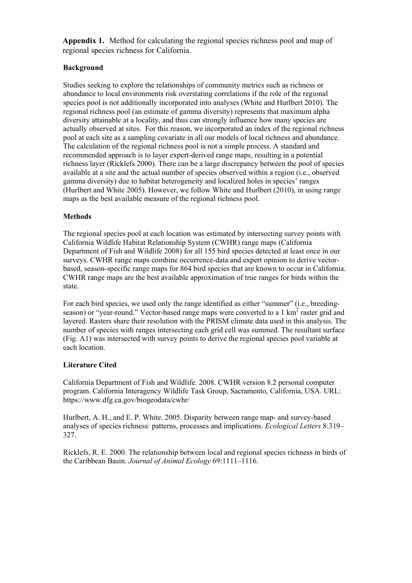regional species richness for California. **Appendix 1.** Method for calculating the regional species richness pool and map of

# **Background**

Studies seeking to explore the relationships of community metrics such as richness or abundance to local environments risk overstating correlations if the role of the regional species pool is not additionally incorporated into analyses (White and Hurlbert 2010). The regional richness pool (an estimate of gamma diversity) represents that maximum alpha diversity attainable at a locality, and thus can strongly influence how many species are actually observed at sites. For this reason, we incorporated an index of the regional richness pool at each site as a sampling covariate in all our models of local richness and abundance. The calculation of the regional richness pool is not a simple process. A standard and recommended approach is to layer expert-derived range maps, resulting in a potential richness layer (Ricklefs 2000). There can be a large discrepancy between the pool of species available at a site and the actual number of species observed within a region (i.e., observed gamma diversity) due to habitat heterogeneity and localized holes in species' ranges (Hurlbert and White 2005). However, we follow White and Hurlbert (2010), in using range maps as the best available measure of the regional richness pool.

### **Methods**

The regional species pool at each location was estimated by intersecting survey points with California Wildlife Habitat Relationship System (CWHR) range maps (California Department of Fish and Wildlife 2008) for all 155 bird species detected at least once in our surveys. CWHR range maps combine occurrence-data and expert opinion to derive vectorbased, season-specific range maps for 864 bird species that are known to occur in California. CWHR range maps are the best available approximation of true ranges for birds within the state.

For each bird species, we used only the range identified as either "summer" (i.e., breedingseason) or "year-round." Vector-based range maps were converted to a 1 km<sup>2</sup> raster grid and layered. Rasters share their resolution with the PRISM climate data used in this analysis. The number of species with ranges intersecting each grid cell was summed. The resultant surface (Fig. A1) was intersected with survey points to derive the regional species pool variable at each location.

# **Literature Cited**

California Department of Fish and Wildlife. 2008. CWHR version 8.2 personal computer program. California Interagency Wildlife Task Group, Sacramento, California, USA. URL: https://www.dfg.ca.gov/biogeodata/cwhr/

Hurlbert, A. H., and E. P. White. 2005. Disparity between range map- and survey-based analyses of species richness: patterns, processes and implications. *Ecological Letters* 8:319– 327.

Ricklefs, R. E. 2000. The relationship between local and regional species richness in birds of the Caribbean Basin. *Journal of Animal Ecology* 69:1111–1116.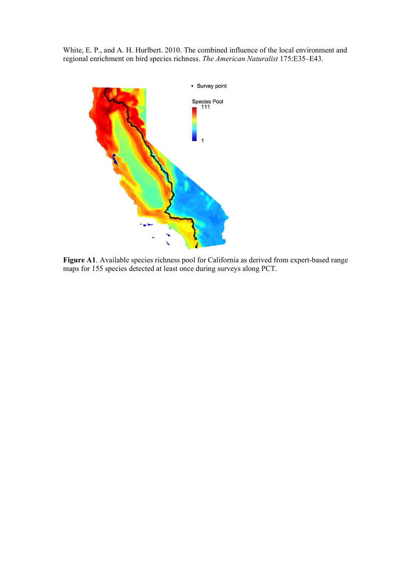White, E. P., and A. H. Hurlbert. 2010. The combined influence of the local environment and regional enrichment on bird species richness. *The American Naturalist* 175:E35–E43.



**Figure A1**. Available species richness pool for California as derived from expert-based range maps for 155 species detected at least once during surveys along PCT.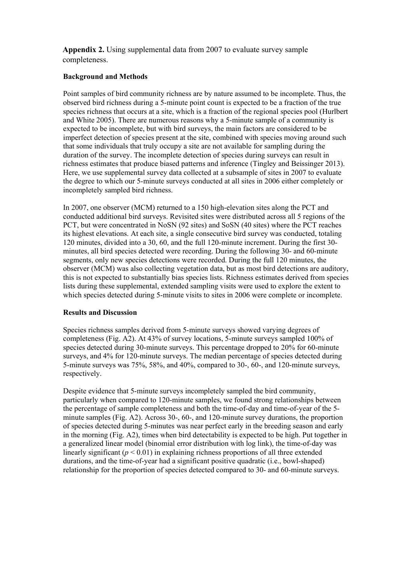**Appendix 2. Using supplemental data from 2007 to evaluate survey sample Appendix 2.** Using supplemental data from 2007 to evaluate survey sample **completeness**  completeness.

### **Background and Methods**

Point samples of bird community richness are by nature assumed to be incomplete. Thus, the observed bird richness during a 5-minute point count is expected to be a fraction of the true species richness that occurs at a site, which is a fraction of the regional species pool (Hurlbert and White 2005). There are numerous reasons why a 5-minute sample of a community is expected to be incomplete, but with bird surveys, the main factors are considered to be imperfect detection of species present at the site, combined with species moving around such that some individuals that truly occupy a site are not available for sampling during the duration of the survey. The incomplete detection of species during surveys can result in richness estimates that produce biased patterns and inference (Tingley and Beissinger 2013). Here, we use supplemental survey data collected at a subsample of sites in 2007 to evaluate the degree to which our 5-minute surveys conducted at all sites in 2006 either completely or incompletely sampled bird richness.

In 2007, one observer (MCM) returned to a 150 high-elevation sites along the PCT and conducted additional bird surveys. Revisited sites were distributed across all 5 regions of the PCT, but were concentrated in NoSN (92 sites) and SoSN (40 sites) where the PCT reaches its highest elevations. At each site, a single consecutive bird survey was conducted, totaling 120 minutes, divided into a 30, 60, and the full 120-minute increment. During the first 30 minutes, all bird species detected were recording. During the following 30- and 60-minute segments, only new species detections were recorded. During the full 120 minutes, the observer (MCM) was also collecting vegetation data, but as most bird detections are auditory, this is not expected to substantially bias species lists. Richness estimates derived from species lists during these supplemental, extended sampling visits were used to explore the extent to which species detected during 5-minute visits to sites in 2006 were complete or incomplete.

# **Results and Discussion**

Species richness samples derived from 5-minute surveys showed varying degrees of completeness (Fig. A2). At 43% of survey locations, 5-minute surveys sampled 100% of species detected during 30-minute surveys. This percentage dropped to 20% for 60-minute surveys, and 4% for 120-minute surveys. The median percentage of species detected during 5-minute surveys was 75%, 58%, and 40%, compared to 30-, 60-, and 120-minute surveys, respectively.

Despite evidence that 5-minute surveys incompletely sampled the bird community, particularly when compared to 120-minute samples, we found strong relationships between the percentage of sample completeness and both the time-of-day and time-of-year of the 5 minute samples (Fig. A2). Across 30-, 60-, and 120-minute survey durations, the proportion of species detected during 5-minutes was near perfect early in the breeding season and early in the morning (Fig. A2), times when bird detectability is expected to be high. Put together in a generalized linear model (binomial error distribution with log link), the time-of-day was linearly significant  $(p < 0.01)$  in explaining richness proportions of all three extended durations, and the time-of-year had a significant positive quadratic (i.e., bowl-shaped) relationship for the proportion of species detected compared to 30- and 60-minute surveys.